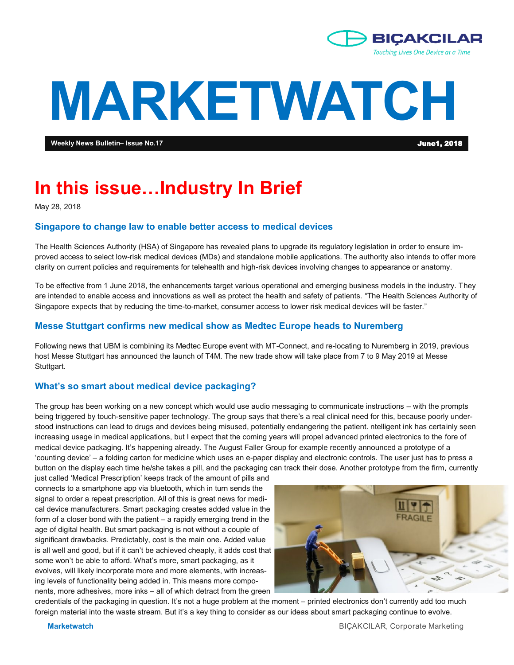

# **MARKETWATCH**

**Weekly News Bulletin– Issue No.17** June1, 2018

## **In this issue…Industry In Brief**

May 28, 2018

#### **Singapore to change law to enable better access to medical devices**

The Health Sciences Authority (HSA) of Singapore has revealed plans to upgrade its regulatory legislation in order to ensure improved access to select low-risk medical devices (MDs) and standalone mobile applications. The authority also intends to offer more clarity on current policies and requirements for telehealth and high-risk devices involving changes to appearance or anatomy.

To be effective from 1 June 2018, the enhancements target various operational and emerging business models in the industry. They are intended to enable access and innovations as well as protect the health and safety of patients. "The Health Sciences Authority of Singapore expects that by reducing the time-to-market, consumer access to lower risk medical devices will be faster."

#### **Messe Stuttgart confirms new medical show as Medtec Europe heads to Nuremberg**

Following news that UBM is combining its Medtec Europe event with MT-Connect, and re-locating to Nuremberg in 2019, previous host Messe Stuttgart has announced the launch of T4M. The new trade show will take place from 7 to 9 May 2019 at Messe Stuttgart.

#### **What's so smart about medical device packaging?**

The group has been working on a new concept which would use audio messaging to communicate instructions – with the prompts being triggered by touch-sensitive paper technology. The group says that there's a real clinical need for this, because poorly understood instructions can lead to drugs and devices being misused, potentially endangering the patient. ntelligent ink has certainly seen increasing usage in medical applications, but I expect that the coming years will propel advanced printed electronics to the fore of medical device packaging. It's happening already. The August Faller Group for example recently announced a prototype of a 'counting device' – a folding carton for medicine which uses an e-paper display and electronic controls. The user just has to press a button on the display each time he/she takes a pill, and the packaging can track their dose. Another prototype from the firm, currently

just called 'Medical Prescription' keeps track of the amount of pills and connects to a smartphone app via bluetooth, which in turn sends the signal to order a repeat prescription. All of this is great news for medical device manufacturers. Smart packaging creates added value in the form of a closer bond with the patient – a rapidly emerging trend in the age of digital health. But smart packaging is not without a couple of significant drawbacks. Predictably, cost is the main one. Added value is all well and good, but if it can't be achieved cheaply, it adds cost that some won't be able to afford. What's more, smart packaging, as it evolves, will likely incorporate more and more elements, with increasing levels of functionality being added in. This means more components, more adhesives, more inks – all of which detract from the green



credentials of the packaging in question. It's not a huge problem at the moment – printed electronics don't currently add too much foreign material into the waste stream. But it's a key thing to consider as our ideas about smart packaging continue to evolve.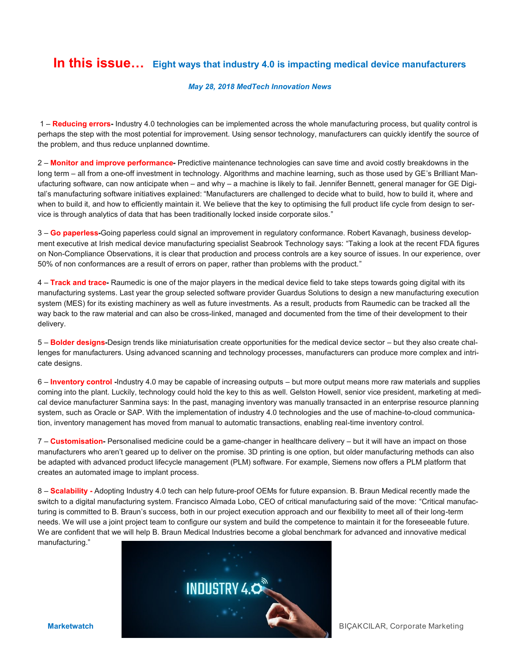### **In this issue… Eight ways that industry 4.0 is impacting medical device manufacturers**

#### *May 28, 2018 MedTech Innovation News*

1 – **Reducing errors-** Industry 4.0 technologies can be implemented across the whole manufacturing process, but quality control is perhaps the step with the most potential for improvement. Using sensor technology, manufacturers can quickly identify the source of the problem, and thus reduce unplanned downtime.

2 – **Monitor and improve performance-** Predictive maintenance technologies can save time and avoid costly breakdowns in the long term – all from a one-off investment in technology. Algorithms and machine learning, such as those used by GE's Brilliant Manufacturing software, can now anticipate when – and why – a machine is likely to fail. Jennifer Bennett, general manager for GE Digital's manufacturing software initiatives explained: "Manufacturers are challenged to decide what to build, how to build it, where and when to build it, and how to efficiently maintain it. We believe that the key to optimising the full product life cycle from design to service is through analytics of data that has been traditionally locked inside corporate silos."

3 – **Go paperless-**Going paperless could signal an improvement in regulatory conformance. Robert Kavanagh, business development executive at Irish medical device manufacturing specialist Seabrook Technology says: "Taking a look at the recent FDA figures on Non-Compliance Observations, it is clear that production and process controls are a key source of issues. In our experience, over 50% of non conformances are a result of errors on paper, rather than problems with the product."

4 – **Track and trace-** Raumedic is one of the major players in the medical device field to take steps towards going digital with its manufacturing systems. Last year the group selected software provider Guardus Solutions to design a new manufacturing execution system (MES) for its existing machinery as well as future investments. As a result, products from Raumedic can be tracked all the way back to the raw material and can also be cross-linked, managed and documented from the time of their development to their delivery.

5 – **Bolder designs-**Design trends like miniaturisation create opportunities for the medical device sector – but they also create challenges for manufacturers. Using advanced scanning and technology processes, manufacturers can produce more complex and intricate designs.

6 – **Inventory control -**Industry 4.0 may be capable of increasing outputs – but more output means more raw materials and supplies coming into the plant. Luckily, technology could hold the key to this as well. Gelston Howell, senior vice president, marketing at medical device manufacturer Sanmina says: In the past, managing inventory was manually transacted in an enterprise resource planning system, such as Oracle or SAP. With the implementation of industry 4.0 technologies and the use of machine-to-cloud communication, inventory management has moved from manual to automatic transactions, enabling real-time inventory control.

7 – **Customisation-** Personalised medicine could be a game-changer in healthcare delivery – but it will have an impact on those manufacturers who aren't geared up to deliver on the promise. 3D printing is one option, but older manufacturing methods can also be adapted with advanced product lifecycle management (PLM) software. For example, Siemens now offers a PLM platform that creates an automated image to implant process.

8 – **Scalability -** Adopting Industry 4.0 tech can help future-proof OEMs for future expansion. B. Braun Medical recently made the switch to a digital manufacturing system. Francisco Almada Lobo, CEO of critical manufacturing said of the move: "Critical manufacturing is committed to B. Braun's success, both in our project execution approach and our flexibility to meet all of their long-term needs. We will use a joint project team to configure our system and build the competence to maintain it for the foreseeable future. We are confident that we will help B. Braun Medical Industries become a global benchmark for advanced and innovative medical manufacturing."

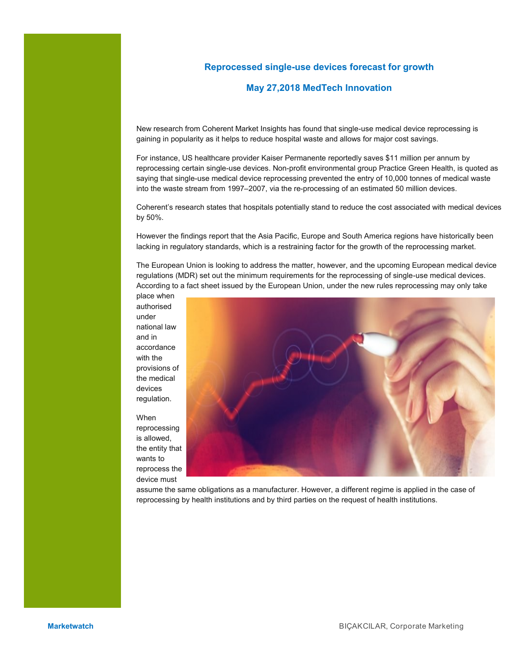#### **Reprocessed single-use devices forecast for growth**

#### **May 27,2018 MedTech Innovation**

New research from Coherent Market Insights has found that single-use medical device reprocessing is gaining in popularity as it helps to reduce hospital waste and allows for major cost savings.

For instance, US healthcare provider Kaiser Permanente reportedly saves \$11 million per annum by reprocessing certain single-use devices. Non-profit environmental group Practice Green Health, is quoted as saying that single-use medical device reprocessing prevented the entry of 10,000 tonnes of medical waste into the waste stream from 1997–2007, via the re-processing of an estimated 50 million devices.

Coherent's research states that hospitals potentially stand to reduce the cost associated with medical devices by 50%.

However the findings report that the Asia Pacific, Europe and South America regions have historically been lacking in regulatory standards, which is a restraining factor for the growth of the reprocessing market.

The European Union is looking to address the matter, however, and the upcoming European medical device regulations (MDR) set out the minimum requirements for the reprocessing of single-use medical devices. According to a fact sheet issued by the European Union, under the new rules reprocessing may only take

place when authorised under national law and in accordance with the provisions of the medical devices regulation.

When reprocessing is allowed, the entity that wants to reprocess the device must



assume the same obligations as a manufacturer. However, a different regime is applied in the case of reprocessing by health institutions and by third parties on the request of health institutions.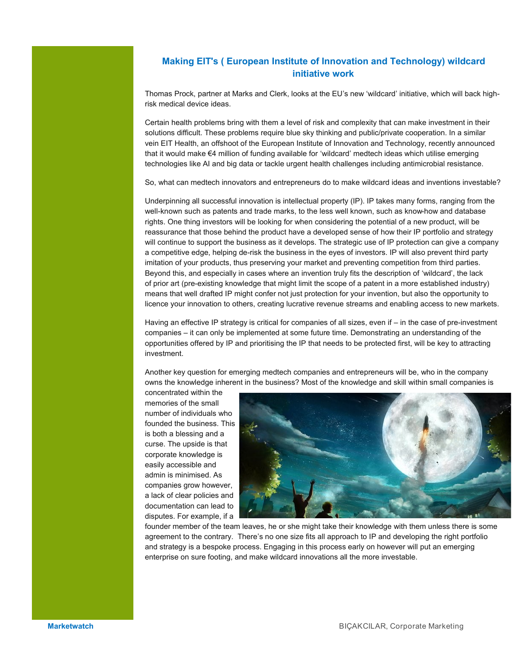#### **Making EIT's ( European Institute of Innovation and Technology) wildcard initiative work**

Thomas Prock, partner at Marks and Clerk, looks at the EU's new 'wildcard' initiative, which will back highrisk medical device ideas.

Certain health problems bring with them a level of risk and complexity that can make investment in their solutions difficult. These problems require blue sky thinking and public/private cooperation. In a similar vein EIT Health, an offshoot of the European Institute of Innovation and Technology, recently announced that it would make €4 million of funding available for 'wildcard' medtech ideas which utilise emerging technologies like AI and big data or tackle urgent health challenges including antimicrobial resistance.

So, what can medtech innovators and entrepreneurs do to make wildcard ideas and inventions investable?

Underpinning all successful innovation is intellectual property (IP). IP takes many forms, ranging from the well-known such as patents and trade marks, to the less well known, such as know-how and database rights. One thing investors will be looking for when considering the potential of a new product, will be reassurance that those behind the product have a developed sense of how their IP portfolio and strategy will continue to support the business as it develops. The strategic use of IP protection can give a company a competitive edge, helping de-risk the business in the eyes of investors. IP will also prevent third party imitation of your products, thus preserving your market and preventing competition from third parties. Beyond this, and especially in cases where an invention truly fits the description of 'wildcard', the lack of prior art (pre-existing knowledge that might limit the scope of a patent in a more established industry) means that well drafted IP might confer not just protection for your invention, but also the opportunity to licence your innovation to others, creating lucrative revenue streams and enabling access to new markets.

Having an effective IP strategy is critical for companies of all sizes, even if – in the case of pre-investment companies – it can only be implemented at some future time. Demonstrating an understanding of the opportunities offered by IP and prioritising the IP that needs to be protected first, will be key to attracting investment.

Another key question for emerging medtech companies and entrepreneurs will be, who in the company owns the knowledge inherent in the business? Most of the knowledge and skill within small companies is

concentrated within the memories of the small number of individuals who founded the business. This is both a blessing and a curse. The upside is that corporate knowledge is easily accessible and admin is minimised. As companies grow however, a lack of clear policies and documentation can lead to disputes. For example, if a



founder member of the team leaves, he or she might take their knowledge with them unless there is some agreement to the contrary. There's no one size fits all approach to IP and developing the right portfolio and strategy is a bespoke process. Engaging in this process early on however will put an emerging enterprise on sure footing, and make wildcard innovations all the more investable.